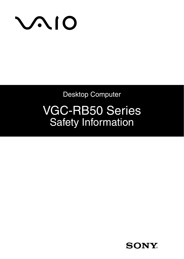

Desktop Computer

# VGC-RB50 Series Safety Information

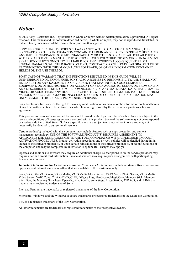#### *Notice*

© 2005 Sony Electronics Inc. Reproduction in whole or in part without written permission is prohibited. All rights reserved. This manual and the software described herein, in whole or in part, may not be reproduced, translated, or reduced to any machine-readable form without prior written approval.

SONY ELECTRONICS INC. PROVIDES NO WARRANTY WITH REGARD TO THIS MANUAL, THE SOFTWARE, OR OTHER INFORMATION CONTAINED HEREIN AND HEREBY EXPRESSLY DISCLAIMS ANY IMPLIED WARRANTIES OF MERCHANTABILITY OR FITNESS FOR ANY PARTICULAR PURPOSE WITH REGARD TO THIS MANUAL, THE SOFTWARE, OR SUCH OTHER INFORMATION. IN NO EVENT SHALL SONY ELECTRONICS INC. BE LIABLE FOR ANY INCIDENTAL, CONSEQUENTIAL, OR SPECIAL DAMAGES, WHETHER BASED ON TORT, CONTRACT, OR OTHERWISE, ARISING OUT OF OR IN CONNECTION WITH THIS MANUAL, THE SOFTWARE, OR OTHER INFORMATION CONTAINED HEREIN OR THE USE THEREOF.

SONY CANNOT WARRANT THAT THE FUNCTIONS DESCRIBED IN THIS GUIDE WILL BE UNINTERRUPTED OR ERROR-FREE. SONY ALSO ASSUMES NO RESPONSIBILITY, AND SHALL NOT<br>BE LIABLE FOR ANY DAMAGES TO, OR VIRUSES THAT MAY INFECT, YOUR COMPUTER<br>EQUIPMENT, OR OTHER PROPERTY ON ACCOUNT OF YOUR ACCESS TO, USE OF, OR ANY DESCRIBED WEB SITE, OR YOUR DOWNLOADING OF ANY MATERIALS, DATA, TEXT, IMAGES, VIDEO, OR AUDIO FROM ANY DESCRIBED WEB SITE. WEB SITE INFORMATION IS OBTAINED FROM VARIOUS SOURCES AND MAY BE INACCURATE. COPIES OF COPYRIGHTED INFORMATION MAY ONLY BE MADE FOR LEGALLY PERMISSIBLE PURPOSES.

Sony Electronics Inc. reserves the right to make any modification to this manual or the information contained herein at any time without notice. The software described herein is governed by the terms of a separate user license agreement.

This product contains software owned by Sony and licensed by third parties. Use of such software is subject to the terms and conditions of license agreements enclosed with this product. Some of the software may not be transported or used outside the United States. Software specifications are subject to change without notice and may not necessarily be identical to current retail versions.

Certain product(s) included with this computer may include features such as copy protection and content management technology. USE OF THE SOFTWARE PRODUCT(S) REQUIRES AGREEMENT TO APPLICABLE END USER AGREEMENTS AND FULL COMPLIANCE WITH APPLICABLE PRODUCT ACTIVATION PROCEDURES. Product activation procedures and privacy policies will be detailed during initial launch of the software product(s), or upon certain reinstallations of the software product(s), or reconfigurations of the computer, and may be completed by Internet or telephone (toll charges may apply).

Updates and additions to software may require an additional charge. Subscriptions to online service providers may require a fee and credit card information. Financial services may require prior arrangements with participating financial institutions.

**Important information for Canadian customers:** Your new VAIO computer includes certain software versions or upgrades, and Internet services or offers that are available to U.S. customers only.

Sony, VAIO, the VAIO logo, VAIO Media, VAIO Media Music Server, VAIO Media Photo Server, VAIO Media Video Server, VAIO Zone, Click to DVD, CLIÉ, DVgate Plus, Handycam, MagicGate, Memory Stick, Memory Stick Duo, the Memory Stick logo, OpenMG, MICROMV, SonicStage, ImageStation, ATRAC3, and i.LINK are trademarks or registered trademarks of Sony.

Intel and Pentium are trademarks or registered trademarks of the Intel Corporation.

Microsoft, Windows, and the Windows logo are trademarks or registered trademarks of the Microsoft Corporation.

PS/2 is a registered trademark of the IBM Corporation.

All other trademarks are trademarks or registered trademarks of their respective owners.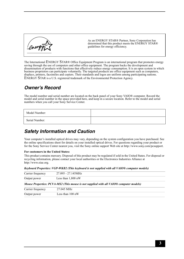

As an ENERGY STAR® Partner, Sony Corporation has determined that this product meets the ENERGY STAR® guidelines for energy efficiency.

The International ENERGY STAR® Office Equipment Program is an international program that promotes energy saving through the use of computers and other office equipment. The program backs the development and dissemination of products with functions that effectively reduce energy consumption. It is an open system in which business proprietors can participate voluntarily. The targeted products are office equipment such as computers, displays, printers, facsimiles and copiers. Their standards and logos are uniform among participating nations. ENERGY STAR is a U.S. registered trademark of the Environmental Protection Agency.

## *Owner's Record*

The model number and serial number are located on the back panel of your Sony VAIO® computer. Record the model and serial number in the space provided here, and keep in a secure location. Refer to the model and serial numbers when you call your Sony Service Center.

| Model Number:  |  |
|----------------|--|
| Serial Number: |  |

## *Safety Information and Caution*

Your computer's installed optical drives may vary, depending on the system configuration you have purchased. See the online specifications sheet for details on your installed optical drives. For questions regarding your product or for the Sony Service Center nearest you, visit the Sony online support Web site at http://www.sony.com/pcsupport.

**For customers in the United States:**

This product contains mercury. Disposal of this product may be regulated if sold in the United States. For disposal or recycling information, please contact your local authorities or the Electronics Industries Alliance at http://www.eiae.org.

|  |  | Keyboard Properties: VGP-WKB2 (This keyboard is not supplied with all VAIO® computer models) |  |
|--|--|----------------------------------------------------------------------------------------------|--|
|  |  |                                                                                              |  |

| Carrier frequency | 27.095 - 27.145MHz                                                                     |  |  |
|-------------------|----------------------------------------------------------------------------------------|--|--|
| Output power      | Less than $1.800$ nW                                                                   |  |  |
|                   | Mouse Properties: PCVA-MS2 (This mouse is not supplied with all VAIO® computer models) |  |  |
| Carrier frequency | 27.045 MHz                                                                             |  |  |
| Output power      | Less than $100 \text{ nW}$                                                             |  |  |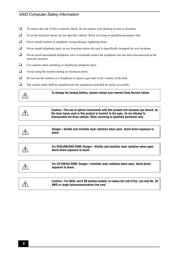#### *VAIO Computer Safety Information*

- ❑ To reduce the risk of fire or electric shock, do not expose your desktop to rain or moisture.
- □ To avoid electrical shock, do not open the cabinet. Refer servicing to qualified personnel only.
- ❑ Never install modem or telephone wiring during a lightning storm.
- ❑ Never install telephone jacks in wet locations unless the jack is specifically designed for wet locations.
- ❑ Never touch uninsulated telephone wire or terminals unless the telephone line has been disconnected at the network interface.
- ❑ Use caution when installing or modifying telephone lines.
- ❑ Avoid using the modem during an electrical storm.
- □ Do not use the modem or a telephone to report a gas leak in the vicinity of the leak.
- ❑ The socket outlet shall be installed near the equipment and shall be easily accessible.

**To change the backup battery, please contact your nearest Sony Service Center.**

**Caution—The use of optical instruments with this product will increase eye hazard. As the laser beam used in this product is harmful to the eyes, do not attempt to disassemble the drive cabinet. Refer servicing to qualified personnel only.**

**Danger—Visible and invisible laser radiation when open. Avoid direct exposure to beam.**

**For DVD±RW/DVD-ROM: Danger—Visible and invisible laser radiation when open. Avoid direct exposure to beam.**

∕!∖

/!\

 $\setminus$ 

**For CD-RW/CD-ROM: Danger—Invisible laser radiation when open. Avoid direct exposure to beam.**

**Caution—For ADSL and V.90 modem models; to reduce the risk of fire, use only No. 26 AWG or larger telecommunication line cord.**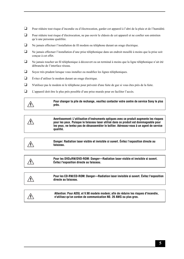- ❑ Pour réduire tout risque d'incendie ou d'électrocution, garder cet appareil à l'abri de la pluie et de l'humidité.
- ❑ Pour réduire tout risque d'électrocution, ne pas ouvrir le châssis de cet appareil et ne confier son entretien qu'à une personne qualifiée.
- ❑ Ne jamais effectuer l'installation de fil modem ou téléphone durant un orage électrique.
- ❑ Ne jamais effectuer l'installation d'une prise téléphonique dans un endroit mouillé à moins que la prise soit conçue à cet effet.
- ❑ Ne jamais toucher un fil téléphonique à découvert ou un terminal à moins que la ligne téléphonique n'ait été débranche de l'interface réseau.
- ❑ Soyez très prudent lorsque vous installez ou modifiez les lignes téléphoniques.
- ❑ Évitez d'utiliser le modem durant un orage électrique.
- ❑ N'utilisez pas le modem ni le téléphone pour prévenir d'une fuite de gaz si vous êtes près de la fuite.
- ❑ L'appareil doit être le plus près possible d'une prise murale pour en faciliter l'accès.



**Pour changer la pile de rechange, veuillez contacter votre centre de service Sony le plus près.**

4

**Avertissement: L'utilisation d'instruments optiques avec ce produit augmente les risques pour les yeux. Puisque le faisceau laser utilisé dans ce produit est dommageable pour les yeux, ne tentez pas de désassembler le boîtier. Adressez-vous à un agent de service qualifié.**

∕!\

**Danger: Radiation laser visible et invisible si ouvert. Évitez l'exposition directe au faisceau.**

**Pour les DVD±RW/DVD-ROM: Danger—Radiation laser visible et invisible si ouvert. Évitez l'exposition directe au faisceau.**



**Attention: Pour ADSL et V.90 modele modem; afin de réduire les risques d'incendie, n'utilisez qu'un cordon de communication N0. 26 AWG ou plus gros.**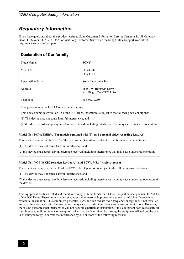#### *VAIO Computer Safety Information*

## *Regulatory Information*

If you have questions about this product, write to Sony Customer Information Service Center at 12451 Gateway Blvd., Ft. Myers, FL 33913, USA, or visit Sony Customer Service on the Sony Online Support Web site at http://www.sony.com/pcsupport.

| <b>Declaration of Conformity</b>                                                                                  |                                                    |  |  |
|-------------------------------------------------------------------------------------------------------------------|----------------------------------------------------|--|--|
| Trade Name:                                                                                                       | <b>SONY</b>                                        |  |  |
| Model No.:                                                                                                        | PCV-C41L<br>PCV-C42L                               |  |  |
| Responsible Party:                                                                                                | Sony Electronics Inc.                              |  |  |
| Address:                                                                                                          | 16450 W. Bernardo Drive<br>San Diego, CA 92127 USA |  |  |
| Telephone:                                                                                                        | 858-942-2230                                       |  |  |
| This phone number is for FCC-related matters only.                                                                |                                                    |  |  |
| This device complies with Part 15 of the FCC rules. Operation is subject to the following two conditions:         |                                                    |  |  |
| (1) This device may not cause harmful interference, and                                                           |                                                    |  |  |
| (2) this device must accept any interference received, including interference that may cause undesired operation. |                                                    |  |  |

#### **Model No.: PCVA-IMB5A (For models equipped with TV and personal video recording features)**

This device complies with Part 15 of the FCC rules. Operation is subject to the following two conditions:

(1) This device may not cause harmful interference, and

(2) this device must accept any interference received, including interference that may cause undesired operation.

#### **Model No.: VGP-WKB2 (wireless keyboard), and PCVA-MS2 (wireless mouse)**

These devices comply with Part15 of the FCC Rules. Operation is subject to the following two conditions:

(1) This device may not cause harmful interference, and

(2) this device must accept any interference received, including interference that may cause undesired operation of the device.

This equipment has been tested and found to comply with the limits for a Class B digital device, pursuant to Part 15 of the FCC Rules. These limits are designed to provide reasonable protection against harmful interference in a residential installation. This equipment generates, uses, and can radiate radio frequency energy and, if not installed and used in accordance with the instructions, may cause harmful interference to radio communications. However, there is no guarantee that interference will not occur in a particular installation. If this equipment does cause harmful interference to radio or television reception, which can be determined by turning the equipment off and on, the user is encouraged to try to correct the interference by one or more of the following measures: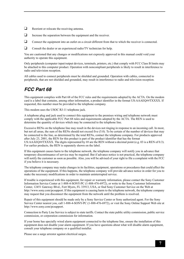- ❑ Reorient or relocate the receiving antenna.
- □ Increase the separation between the equipment and the receiver.
- □ Connect the equipment into an outlet on a circuit different from that to which the receiver is connected.
- ❑ Consult the dealer or an experienced radio/TV technician for help.

You are cautioned that any changes or modifications not expressly approved in this manual could void your authority to operate this equipment.

Only peripherals (computer input/output devices, terminals, printers, etc.) that comply with FCC Class B limits may be attached to this computer product. Operation with noncompliant peripherals is likely to result in interference to radio and television reception.

All cables used to connect peripherals must be shielded and grounded. Operation with cables, connected to peripherals, that are not shielded and grounded, may result in interference to radio and television reception.

# *FCC Part 68*

This equipment complies with Part 68 of the FCC rules and the requirements adopted by the ACTA. On the modem card is a label that contains, among other information, a product identifier in the format US:AAAEQ##TXXXX. If requested, this number must be provided to the telephone company.

This modem uses the USOC RJ-11 telephone jack.

A telephone plug and jack used to connect this equipment to the premises wiring and telephone network must comply with the applicable FCC Part 68 rules and requirements adopted by the ACTA. The REN is used to determine the quantity of devices which may be connected to the telephone line.

Excessive RENs on the telephone line may result in the devices not ringing in response to an incoming call. In most, but not all areas, the sum of the RENs should not exceed five (5.0). To be certain of the number of devices that may be connected to the line, as determined by the total RENs, contact the telephone company. For products approved after July 23, 2001, the REN for this product is part of the product identifier that has the format US:AAAEQ##TXXXX. The digits represented by ## are the REN without a decimal point (e.g. 03 is a REN of 0.3). For earlier products, the REN is separately shown on the label.

If this equipment causes harm to the telephone network, the telephone company will notify you in advance that temporary discontinuance of service may be required. But if advance notice is not practical, the telephone company will notify the customer as soon as possible. Also, you will be advised of your right to file a complaint with the FCC if you believe it is necessary.

The telephone company may make changes in its facilities, equipment, operations or procedures that could affect the operations of the equipment. If this happens, the telephone company will provide advance notice in order for you to make the necessary modifications in order to maintain uninterrupted service.

If trouble is experienced with this equipment, for repair or warranty information, please contact the Sony Customer Information Service Center at 1-888-4-SONY-PC (1-888-476-6972), or write to the Sony Customer Information Center, 12451 Gateway Blvd., Fort Myers, FL 33913, USA, or find Sony Customer Service on the Web at http://www.sony.com/pcsupport. If this equipment is causing harm to the telephone network, the telephone company may request that you disconnect the equipment from the network until the problem is resolved.

Repair of this equipment should be made only by a Sony Service Center or Sony authorized agent. For the Sony Service Center nearest you, call 1-888-4-SONY-PC (1-888-476-6972), or visit the Sony Online Support Web site at http://www.sony.com/pcsupport.

Connection to Party Line Service is subject to state tariffs. Contact the state public utility commission, public service commission, or corporation commission for information.

If your home has specially wired alarm equipment connected to the telephone line, ensure the installation of this equipment does not disable your alarm equipment. If you have questions about what will disable alarm equipment, consult your telephone company or a qualified installer.

Please use a surge arrestor against electrical surges.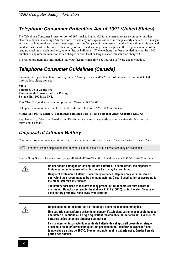# *Telephone Consumer Protection Act of 1991 (United States)*

The Telephone Consumer Protection Act of 1991 makes it unlawful for any person to use a computer or other electronic device, including FAX machines, to send any message unless such message clearly contains, in a margin at the top or bottom of each transmitted page or on the first page of the transmission, the date and time it is sent and an identification of the business, other entity, or individual sending the message, and the telephone number of the sending machine or such business, other entity, or individual. (The telephone number provided may not be a 900 number or any other number for which charges exceed local or long distance transmission charges.)

In order to program this information into your facsimile machine, see your fax software documentation.

# *Telephone Consumer Guidelines (Canada)*

Please refer to your telephone directory under 'Privacy Issues' and/or 'Terms of Service.' For more detailed information, please contact:

#### **CRTC Terrasses de la Chaudière Tour centrale 1 promenade du Portage 5 étage Hull PQ K1A 0N2.**

This Class B digital apparatus complies with Canadian ICES-003.

Cet appareil numérique de la classe B est conforme à la norme NMB-003 du Canada.

**Model No.: PCVA-IMB5A (For models equipped with TV and personal video recording features)**

Supplementary Television Broadcasting Receiving Apparatus - Appareils supplémentaires de réception de télévision, Canada.

## *Disposal of Lithium Battery*

You can return your unwanted lithium batteries to your nearest Sony Service Center or Factory Service Center.

 $\triangle$  In some areas the disposal of lithium batteries in household or business trash may be prohibited.

For the Sony Service Center nearest you, call 1-888-476-6972 in the United States or 1-800-961-7669 in Canada.

| Do not handle damaged or leaking lithium batteries. In some areas, the disposal of<br>lithium batteries in household or business trash may be prohibited.                                                                     |
|-------------------------------------------------------------------------------------------------------------------------------------------------------------------------------------------------------------------------------|
| Danger of explosion if battery is incorrectly replaced. Replace only with the same or<br>equivalent type recommended by the manufacturer. Discard used batteries according to<br>the manufacturer's instructions.             |
| The battery pack used in this device may present a fire or chemical burn hazard if<br>mistreated. Do not disassemble, heat above 212° F (100°C), or incinerate. Dispose of<br>used battery promptly. Keep away from children. |
|                                                                                                                                                                                                                               |

**Ne pas manipuler les batteries au lithium qui fuient ou sont endommagées.**

**Une batterie non conforme présente un danger d'explosion. La remplacer seulement par une batterie identique ou de type équivalent recommandé par le fabricant. Évacuer les batteries usées selon les directives du fabricant.**

**La manutention incorrecte du module de batterie de cet appareil présente un risque d'incendie ou de brûlures chimiques. Ne pas démonter, incinérer ou exposer à une température de plus de 100°C. Évacuer promptement la batterie usée. Garder hors de portée des enfants.**

/!\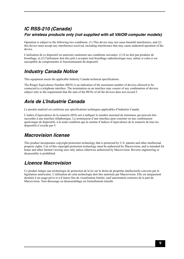## *IC RSS-210 (Canada) For wireless products only (not supplied with all VAIO® computer models)*

Operation is subject to the following two conditions: (1) This device may not cause harmful interference, and (2) this device must accept any interference received, including interference that may cause undesired operation of the device.

L'utilisation de ce dispositif est autorisée seulement aux conditions suivantes: (1) Il ne doit pas produire de brouillage, et (2) l'utilisateur doit être prêt à accepter tout brouillage radioélectrique reçu, même si celui-ci est susceptible de compromettre le fonctionnement du dispositif.

# *Industry Canada Notice*

This equipment meets the applicable Industry Canada technical specifications.

The Ringer Equivalence Number (REN) is an indication of the maximum number of devices allowed to be connected to a telephone interface. The termination on an interface may consist of any combination of devices subject only to the requirement that the sum of the RENs of all the devices does not exceed 5.

# *Avis de L'Industrie Canada*

Le presént matériel est conforme aux spécifications techniques applicables d'Industrie Canada.

L'indice d'équivalence de la sonnerie (IES) sert à indiquer le nombre maximal de terminaux qui peuvent être raccordés à une interface téléphonique. La terminaison d'une interface peut consister en une combinaison quelconque de dispositifs, à la seule condition que la somme d'indices d'équivalence de la sonnerie de tous les dispositifs n'excède pas 5.

## *Macrovision license*

This product incorporates copyright protection technology that is protected by U.S. patents and other intellectual property rights. Use of this copyright protection technology must be authorized by Macrovision, and is intended for home and other limited viewing uses only unless otherwise authorized by Macrovision. Reverse engineering or disassembly is prohibited.

# *Licence Macrovision*

Ce produit intègre une technologie de protection de la loi sur le droits de propriéte intellectuelle couverts par la législation américaine. L'utilisation de cette technologie doit être autorisée par Macrovision. Elle est uniquement destinée à un usage privé et à d'autres fins de visualisation limitée, sauf autorisation contraire de la part de Macrovision. Tout désossage ou désassemblage est formellement interdit.